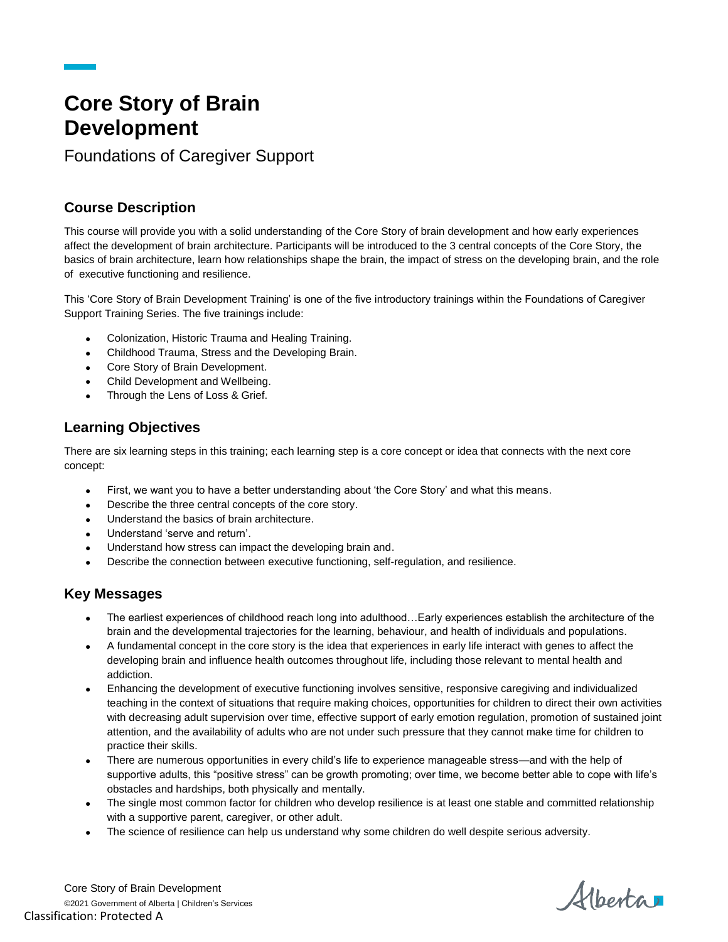# **Core Story of Brain Development**

Foundations of Caregiver Support

## **Course Description**

This course will provide you with a solid understanding of the Core Story of brain development and how early experiences affect the development of brain architecture. Participants will be introduced to the 3 central concepts of the Core Story, the basics of brain architecture, learn how relationships shape the brain, the impact of stress on the developing brain, and the role of executive functioning and resilience.

This 'Core Story of Brain Development Training' is one of the five introductory trainings within the Foundations of Caregiver Support Training Series. The five trainings include:

- Colonization, Historic Trauma and Healing Training.
- Childhood Trauma, Stress and the Developing Brain.
- Core Story of Brain Development.
- Child Development and Wellbeing.
- Through the Lens of Loss & Grief.

## **Learning Objectives**

There are six learning steps in this training; each learning step is a core concept or idea that connects with the next core concept:

- First, we want you to have a better understanding about 'the Core Story' and what this means.
- Describe the three central concepts of the core story.
- Understand the basics of brain architecture.
- Understand 'serve and return'.
- Understand how stress can impact the developing brain and.
- Describe the connection between executive functioning, self-regulation, and resilience.

### **Key Messages**

- The earliest experiences of childhood reach long into adulthood…Early experiences establish the architecture of the brain and the developmental trajectories for the learning, behaviour, and health of individuals and populations.
- A fundamental concept in the core story is the idea that experiences in early life interact with genes to affect the developing brain and influence health outcomes throughout life, including those relevant to mental health and addiction.
- Enhancing the development of executive functioning involves sensitive, responsive caregiving and individualized teaching in the context of situations that require making choices, opportunities for children to direct their own activities with decreasing adult supervision over time, effective support of early emotion regulation, promotion of sustained joint attention, and the availability of adults who are not under such pressure that they cannot make time for children to practice their skills.
- There are numerous opportunities in every child's life to experience manageable stress—and with the help of supportive adults, this "positive stress" can be growth promoting; over time, we become better able to cope with life's obstacles and hardships, both physically and mentally.
- The single most common factor for children who develop resilience is at least one stable and committed relationship with a supportive parent, caregiver, or other adult.
- The science of resilience can help us understand why some children do well despite serious adversity.

Core Story of Brain Development ©2021 Government of Alberta | Children's Services Classification: Protected A

Alberta